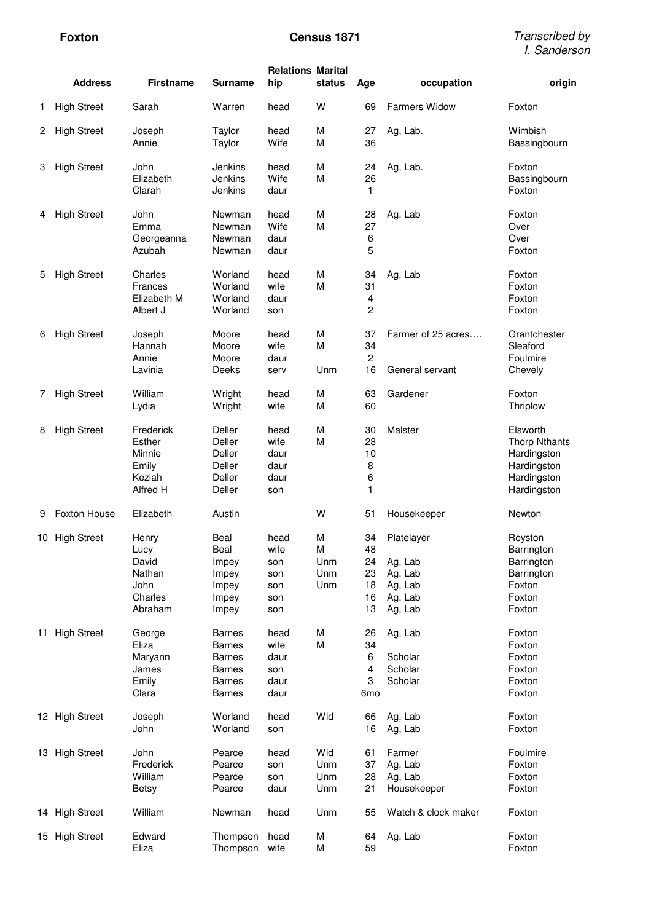|    | <b>Address</b>     | <b>Firstname</b>                                               | <b>Surname</b>                                                                                     | <b>Relations Marital</b><br>hip                 | status                      | Age                                        | occupation                                                        | origin                                                                                       |
|----|--------------------|----------------------------------------------------------------|----------------------------------------------------------------------------------------------------|-------------------------------------------------|-----------------------------|--------------------------------------------|-------------------------------------------------------------------|----------------------------------------------------------------------------------------------|
| 1  | <b>High Street</b> | Sarah                                                          | Warren                                                                                             | head                                            | W                           | 69                                         | <b>Farmers Widow</b>                                              | Foxton                                                                                       |
| 2  | <b>High Street</b> | Joseph<br>Annie                                                | Taylor<br>Taylor                                                                                   | head<br>Wife                                    | М<br>M                      | 27<br>36                                   | Ag, Lab.                                                          | Wimbish<br>Bassingbourn                                                                      |
| 3  | <b>High Street</b> | John<br>Elizabeth<br>Clarah                                    | Jenkins<br>Jenkins<br>Jenkins                                                                      | head<br>Wife<br>daur                            | M<br>M                      | 24<br>26<br>1                              | Ag, Lab.                                                          | Foxton<br>Bassingbourn<br>Foxton                                                             |
| 4  | <b>High Street</b> | John<br>Emma<br>Georgeanna<br>Azubah                           | Newman<br>Newman<br>Newman<br>Newman                                                               | head<br>Wife<br>daur<br>daur                    | М<br>M                      | 28<br>27<br>6<br>5                         | Ag, Lab                                                           | Foxton<br>Over<br>Over<br>Foxton                                                             |
| 5  | <b>High Street</b> | Charles<br><b>Frances</b><br>Elizabeth M<br>Albert J           | Worland<br>Worland<br>Worland<br>Worland                                                           | head<br>wife<br>daur<br>son                     | M<br>M                      | 34<br>31<br>4<br>$\overline{c}$            | Ag, Lab                                                           | Foxton<br>Foxton<br>Foxton<br>Foxton                                                         |
| 6  | <b>High Street</b> | Joseph<br>Hannah<br>Annie<br>Lavinia                           | Moore<br>Moore<br>Moore<br>Deeks                                                                   | head<br>wife<br>daur<br>serv                    | M<br>M<br>Unm               | 37<br>34<br>2<br>16                        | Farmer of 25 acres<br>General servant                             | Grantchester<br>Sleaford<br>Foulmire<br>Chevely                                              |
| 7  | <b>High Street</b> | William<br>Lydia                                               | Wright<br>Wright                                                                                   | head<br>wife                                    | M<br>M                      | 63<br>60                                   | Gardener                                                          | Foxton<br>Thriplow                                                                           |
| 8  | <b>High Street</b> | Frederick<br>Esther<br>Minnie<br>Emily<br>Keziah<br>Alfred H   | <b>Deller</b><br>Deller<br>Deller<br><b>Deller</b><br><b>Deller</b><br>Deller                      | head<br>wife<br>daur<br>daur<br>daur<br>son     | M<br>M                      | 30<br>28<br>10<br>8<br>6<br>1              | Malster                                                           | Elsworth<br><b>Thorp Nthants</b><br>Hardingston<br>Hardingston<br>Hardingston<br>Hardingston |
| 9  | Foxton House       | Elizabeth                                                      | Austin                                                                                             |                                                 | W                           | 51                                         | Housekeeper                                                       | Newton                                                                                       |
| 10 | <b>High Street</b> | Henry<br>Lucy<br>David<br>Nathan<br>John<br>Charles<br>Abraham | Beal<br><b>Beal</b><br>Impey<br>Impey<br>Impey<br>Impey<br>Impey                                   | head<br>wife<br>son<br>son<br>son<br>son<br>son | M<br>M<br>Unm<br>Unm<br>Unm | 34<br>48<br>24<br>23<br>18<br>16<br>13     | Platelayer<br>Ag, Lab<br>Ag, Lab<br>Ag, Lab<br>Ag, Lab<br>Ag, Lab | Royston<br>Barrington<br>Barrington<br>Barrington<br>Foxton<br>Foxton<br>Foxton              |
|    | 11 High Street     | George<br>Eliza<br>Maryann<br>James<br>Emily<br>Clara          | <b>Barnes</b><br><b>Barnes</b><br><b>Barnes</b><br><b>Barnes</b><br><b>Barnes</b><br><b>Barnes</b> | head<br>wife<br>daur<br>son<br>daur<br>daur     | М<br>M                      | 26<br>34<br>6<br>4<br>3<br>6 <sub>mo</sub> | Ag, Lab<br>Scholar<br>Scholar<br>Scholar                          | Foxton<br>Foxton<br>Foxton<br>Foxton<br>Foxton<br>Foxton                                     |
|    | 12 High Street     | Joseph<br>John                                                 | Worland<br>Worland                                                                                 | head<br>son                                     | Wid                         | 66<br>16                                   | Ag, Lab<br>Ag, Lab                                                | Foxton<br>Foxton                                                                             |
|    | 13 High Street     | John<br>Frederick<br>William<br><b>Betsy</b>                   | Pearce<br>Pearce<br>Pearce<br>Pearce                                                               | head<br>son<br>son<br>daur                      | Wid<br>Unm<br>Unm<br>Unm    | 61<br>37<br>28<br>21                       | Farmer<br>Ag, Lab<br>Ag, Lab<br>Housekeeper                       | Foulmire<br>Foxton<br>Foxton<br>Foxton                                                       |
|    | 14 High Street     | William                                                        | Newman                                                                                             | head                                            | Unm                         | 55                                         | Watch & clock maker                                               | Foxton                                                                                       |
|    | 15 High Street     | Edward<br>Eliza                                                | Thompson<br>Thompson                                                                               | head<br>wife                                    | М<br>М                      | 64<br>59                                   | Ag, Lab                                                           | Foxton<br>Foxton                                                                             |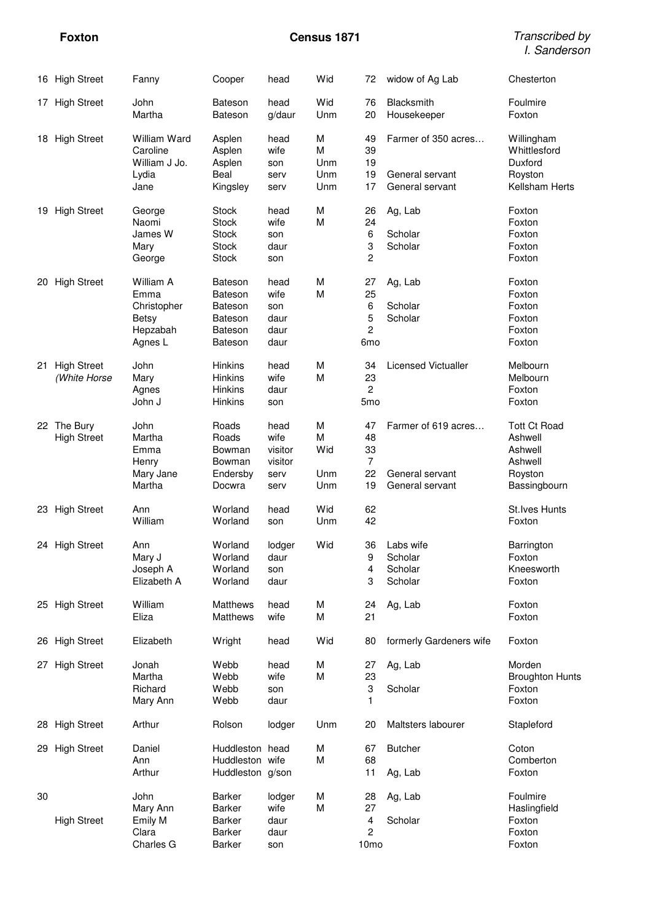**Foxton Census 1871** Transcribed by I. Sanderson

|    | 16 High Street                     | Fanny                                                                   | Cooper                                                                                                   | head                                               | Wid                         | 72                                                      | widow of Ag Lab                                           | Chesterton                                                                      |
|----|------------------------------------|-------------------------------------------------------------------------|----------------------------------------------------------------------------------------------------------|----------------------------------------------------|-----------------------------|---------------------------------------------------------|-----------------------------------------------------------|---------------------------------------------------------------------------------|
|    | 17 High Street                     | John<br>Martha                                                          | <b>Bateson</b><br><b>Bateson</b>                                                                         | head<br>g/daur                                     | Wid<br>Unm                  | 76<br>20                                                | Blacksmith<br>Housekeeper                                 | Foulmire<br>Foxton                                                              |
|    | 18 High Street                     | William Ward<br>Caroline<br>William J Jo.<br>Lydia<br>Jane              | Asplen<br>Asplen<br>Asplen<br>Beal<br>Kingsley                                                           | head<br>wife<br>son<br>serv<br>serv                | M<br>M<br>Unm<br>Unm<br>Unm | 49<br>39<br>19<br>19<br>17                              | Farmer of 350 acres<br>General servant<br>General servant | Willingham<br>Whittlesford<br>Duxford<br>Royston<br>Kellsham Herts              |
|    | 19 High Street                     | George<br>Naomi<br>James W<br>Mary<br>George                            | <b>Stock</b><br><b>Stock</b><br><b>Stock</b><br><b>Stock</b><br><b>Stock</b>                             | head<br>wife<br>son<br>daur<br>son                 | M<br>M                      | 26<br>24<br>6<br>3<br>$\overline{c}$                    | Ag, Lab<br>Scholar<br>Scholar                             | Foxton<br>Foxton<br>Foxton<br>Foxton<br>Foxton                                  |
|    | 20 High Street                     | William A<br>Emma<br>Christopher<br><b>Betsy</b><br>Hepzabah<br>Agnes L | <b>Bateson</b><br><b>Bateson</b><br><b>Bateson</b><br><b>Bateson</b><br><b>Bateson</b><br><b>Bateson</b> | head<br>wife<br>son<br>daur<br>daur<br>daur        | M<br>M                      | 27<br>25<br>6<br>5<br>$\overline{c}$<br>6 <sub>mo</sub> | Ag, Lab<br>Scholar<br>Scholar                             | Foxton<br>Foxton<br>Foxton<br>Foxton<br>Foxton<br>Foxton                        |
| 21 | <b>High Street</b><br>(White Horse | John<br>Mary<br>Agnes<br>John J                                         | <b>Hinkins</b><br>Hinkins<br>Hinkins<br>Hinkins                                                          | head<br>wife<br>daur<br>son                        | M<br>M                      | 34<br>23<br>$\overline{c}$<br>5 <sub>mo</sub>           | <b>Licensed Victualler</b>                                | Melbourn<br>Melbourn<br>Foxton<br>Foxton                                        |
|    | 22 The Bury<br><b>High Street</b>  | John<br>Martha<br>Emma<br>Henry<br>Mary Jane<br>Martha                  | Roads<br>Roads<br>Bowman<br>Bowman<br>Endersby<br>Docwra                                                 | head<br>wife<br>visitor<br>visitor<br>serv<br>serv | M<br>M<br>Wid<br>Unm<br>Unm | 47<br>48<br>33<br>$\overline{7}$<br>22<br>19            | Farmer of 619 acres<br>General servant<br>General servant | <b>Tott Ct Road</b><br>Ashwell<br>Ashwell<br>Ashwell<br>Royston<br>Bassingbourn |
|    | 23 High Street                     | Ann<br>William                                                          | Worland<br>Worland                                                                                       | head<br>son                                        | Wid<br>Unm                  | 62<br>42                                                |                                                           | <b>St.Ives Hunts</b><br>Foxton                                                  |
|    | 24 High Street                     | Ann<br>Mary J<br>Joseph A<br>Elizabeth A                                | Worland<br>Worland<br>Worland<br>Worland                                                                 | lodger<br>daur<br>son<br>daur                      | Wid                         | 36<br>9<br>4<br>3                                       | Labs wife<br>Scholar<br>Scholar<br>Scholar                | Barrington<br>Foxton<br>Kneesworth<br>Foxton                                    |
|    | 25 High Street                     | William<br>Eliza                                                        | Matthews<br>Matthews                                                                                     | head<br>wife                                       | М<br>М                      | 24<br>21                                                | Ag, Lab                                                   | Foxton<br>Foxton                                                                |
|    | 26 High Street                     | Elizabeth                                                               | Wright                                                                                                   | head                                               | Wid                         | 80                                                      | formerly Gardeners wife                                   | Foxton                                                                          |
|    | 27 High Street                     | Jonah<br>Martha<br>Richard<br>Mary Ann                                  | Webb<br>Webb<br>Webb<br>Webb                                                                             | head<br>wife<br>son<br>daur                        | M<br>М                      | 27<br>23<br>3<br>1                                      | Ag, Lab<br>Scholar                                        | Morden<br><b>Broughton Hunts</b><br>Foxton<br>Foxton                            |
|    | 28 High Street                     | Arthur                                                                  | Rolson                                                                                                   | lodger                                             | Unm                         | 20                                                      | Maltsters labourer                                        | Stapleford                                                                      |
|    | 29 High Street                     | Daniel<br>Ann<br>Arthur                                                 | Huddleston head<br>Huddleston wife<br>Huddleston g/son                                                   |                                                    | М<br>М                      | 67<br>68<br>11                                          | <b>Butcher</b><br>Ag, Lab                                 | Coton<br>Comberton<br>Foxton                                                    |
| 30 | <b>High Street</b>                 | John<br>Mary Ann<br>Emily M<br>Clara<br>Charles G                       | Barker<br><b>Barker</b><br>Barker<br>Barker<br>Barker                                                    | lodger<br>wife<br>daur<br>daur<br>son              | M<br>M                      | 28<br>27<br>4<br>2<br>10 <sub>mo</sub>                  | Ag, Lab<br>Scholar                                        | Foulmire<br>Haslingfield<br>Foxton<br>Foxton<br>Foxton                          |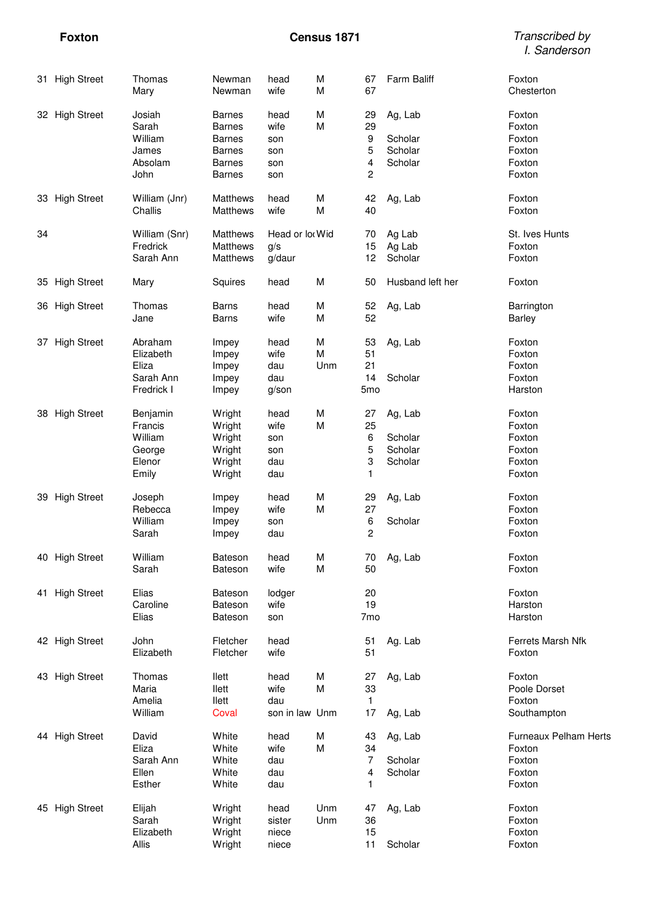**Foxton Census 1871** Transcribed by I. Sanderson

|    | 31 High Street     | Thomas<br>Mary                                              | Newman<br>Newman                                                                                   | head<br>wife                             | М<br>M        | 67<br>67                                    | Farm Baliff                              | Foxton<br>Chesterton                                          |
|----|--------------------|-------------------------------------------------------------|----------------------------------------------------------------------------------------------------|------------------------------------------|---------------|---------------------------------------------|------------------------------------------|---------------------------------------------------------------|
|    | 32 High Street     | Josiah<br>Sarah<br>William<br>James<br>Absolam<br>John      | <b>Barnes</b><br><b>Barnes</b><br><b>Barnes</b><br><b>Barnes</b><br><b>Barnes</b><br><b>Barnes</b> | head<br>wife<br>son<br>son<br>son<br>son | M<br>M        | 29<br>29<br>$\boldsymbol{9}$<br>5<br>4<br>2 | Ag, Lab<br>Scholar<br>Scholar<br>Scholar | Foxton<br>Foxton<br>Foxton<br>Foxton<br>Foxton<br>Foxton      |
|    | 33 High Street     | William (Jnr)<br>Challis                                    | Matthews<br>Matthews                                                                               | head<br>wife                             | М<br>M        | 42<br>40                                    | Ag, Lab                                  | Foxton<br>Foxton                                              |
| 34 |                    | William (Snr)<br>Fredrick<br>Sarah Ann                      | Matthews<br>Matthews<br>Matthews                                                                   | Head or loo Wid<br>g/s<br>g/daur         |               | 70<br>15<br>12                              | Ag Lab<br>Ag Lab<br>Scholar              | St. Ives Hunts<br>Foxton<br>Foxton                            |
|    | 35 High Street     | Mary                                                        | Squires                                                                                            | head                                     | M             | 50                                          | Husband left her                         | Foxton                                                        |
|    | 36 High Street     | Thomas<br>Jane                                              | <b>Barns</b><br><b>Barns</b>                                                                       | head<br>wife                             | М<br>M        | 52<br>52                                    | Ag, Lab                                  | Barrington<br>Barley                                          |
| 37 | <b>High Street</b> | Abraham<br>Elizabeth<br>Eliza<br>Sarah Ann<br>Fredrick I    | Impey<br>Impey<br>Impey<br>Impey<br>Impey                                                          | head<br>wife<br>dau<br>dau<br>g/son      | М<br>M<br>Unm | 53<br>51<br>21<br>14<br>5 <sub>mo</sub>     | Ag, Lab<br>Scholar                       | Foxton<br>Foxton<br>Foxton<br>Foxton<br>Harston               |
|    | 38 High Street     | Benjamin<br>Francis<br>William<br>George<br>Elenor<br>Emily | Wright<br>Wright<br>Wright<br>Wright<br>Wright<br>Wright                                           | head<br>wife<br>son<br>son<br>dau<br>dau | M<br>M        | 27<br>25<br>6<br>5<br>3<br>1                | Ag, Lab<br>Scholar<br>Scholar<br>Scholar | Foxton<br>Foxton<br>Foxton<br>Foxton<br>Foxton<br>Foxton      |
|    | 39 High Street     | Joseph<br>Rebecca<br>William<br>Sarah                       | Impey<br>Impey<br>Impey<br>Impey                                                                   | head<br>wife<br>son<br>dau               | M<br>М        | 29<br>27<br>6<br>$\overline{c}$             | Ag, Lab<br>Scholar                       | Foxton<br>Foxton<br>Foxton<br>Foxton                          |
|    | 40 High Street     | William<br>Sarah                                            | Bateson<br><b>Bateson</b>                                                                          | head<br>wife                             | М<br>м        | 50                                          | 70 Ag, Lab                               | Foxton<br>Foxton                                              |
|    | 41 High Street     | Elias<br>Caroline<br>Elias                                  | <b>Bateson</b><br><b>Bateson</b><br><b>Bateson</b>                                                 | lodger<br>wife<br>son                    |               | 20<br>19<br>7 <sub>mo</sub>                 |                                          | Foxton<br>Harston<br>Harston                                  |
|    | 42 High Street     | John<br>Elizabeth                                           | Fletcher<br>Fletcher                                                                               | head<br>wife                             |               | 51<br>51                                    | Ag. Lab                                  | Ferrets Marsh Nfk<br>Foxton                                   |
|    | 43 High Street     | Thomas<br>Maria<br>Amelia<br>William                        | llett<br>llett<br>llett<br>Coval                                                                   | head<br>wife<br>dau<br>son in law Unm    | M<br>M        | 27<br>33<br>$\mathbf{1}$<br>17              | Ag, Lab<br>Ag, Lab                       | Foxton<br>Poole Dorset<br>Foxton<br>Southampton               |
|    | 44 High Street     | David<br>Eliza<br>Sarah Ann<br>Ellen<br>Esther              | White<br>White<br>White<br>White<br>White                                                          | head<br>wife<br>dau<br>dau<br>dau        | М<br>М        | 43<br>34<br>7<br>4<br>1                     | Ag, Lab<br>Scholar<br>Scholar            | Furneaux Pelham Herts<br>Foxton<br>Foxton<br>Foxton<br>Foxton |
|    | 45 High Street     | Elijah<br>Sarah<br>Elizabeth<br>Allis                       | Wright<br>Wright<br>Wright<br>Wright                                                               | head<br>sister<br>niece<br>niece         | Unm<br>Unm    | 47<br>36<br>15<br>11                        | Ag, Lab<br>Scholar                       | Foxton<br>Foxton<br>Foxton<br>Foxton                          |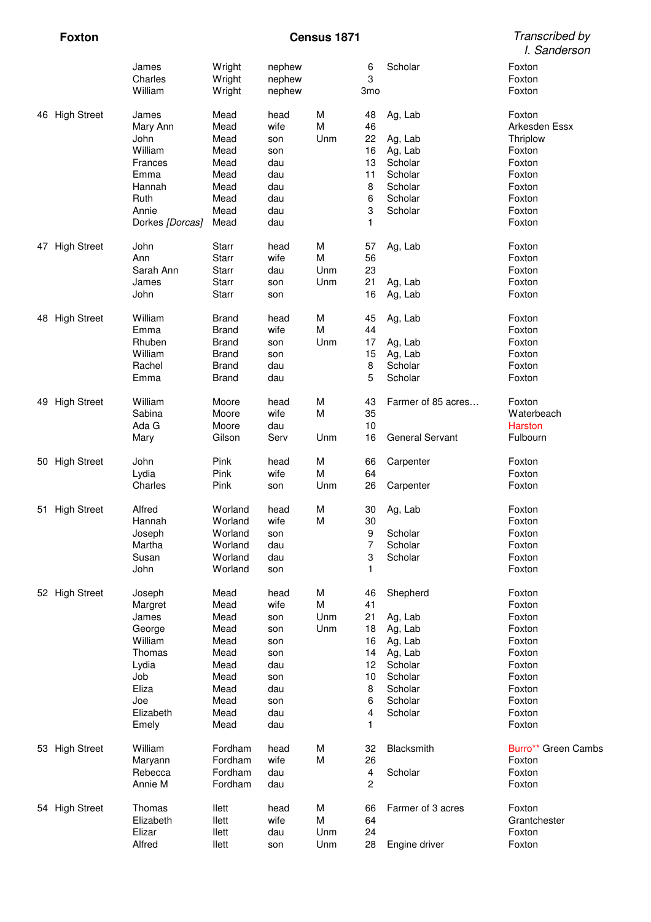# **Foxton Census 1871**

| Transcribed by |
|----------------|
| I. Sanderson   |

|    |                    | James<br>Charles<br>William | Wright<br>Wright<br>Wright   | nephew<br>nephew<br>nephew |        | 6<br>3<br>3 <sub>mo</sub> | Scholar            | Foxton<br>Foxton<br>Foxton |
|----|--------------------|-----------------------------|------------------------------|----------------------------|--------|---------------------------|--------------------|----------------------------|
|    | 46 High Street     | James<br>Mary Ann           | Mead<br>Mead                 | head<br>wife               | M<br>M | 48<br>46                  | Ag, Lab            | Foxton<br>Arkesden Essx    |
|    |                    | John                        | Mead                         | son                        | Unm    | 22                        | Ag, Lab            | Thriplow                   |
|    |                    | William                     | Mead                         | son                        |        | 16                        | Ag, Lab            | Foxton                     |
|    |                    | Frances                     | Mead                         | dau                        |        | 13                        | Scholar            | Foxton                     |
|    |                    | Emma                        | Mead                         | dau                        |        | 11                        | Scholar            | Foxton                     |
|    |                    | Hannah                      | Mead                         | dau                        |        | 8                         | Scholar            | Foxton                     |
|    |                    | Ruth                        | Mead                         | dau                        |        | 6                         | Scholar            | Foxton                     |
|    |                    | Annie                       | Mead                         | dau                        |        | 3                         | Scholar            | Foxton                     |
|    |                    | Dorkes [Dorcas]             | Mead                         | dau                        |        | 1                         |                    | Foxton                     |
|    | 47 High Street     | John                        | <b>Starr</b>                 | head                       | M      | 57                        | Ag, Lab            | Foxton                     |
|    |                    | Ann                         | <b>Starr</b>                 | wife                       | M      | 56                        |                    | Foxton                     |
|    |                    | Sarah Ann                   | <b>Starr</b>                 | dau                        | Unm    | 23                        |                    | Foxton                     |
|    |                    | James                       | <b>Starr</b>                 | son                        | Unm    | 21                        | Ag, Lab            | Foxton                     |
|    |                    | John                        | <b>Starr</b>                 | son                        |        | 16                        | Ag, Lab            | Foxton                     |
|    | 48 High Street     | William<br>Emma             | <b>Brand</b>                 | head<br>wife               | M<br>M | 45<br>44                  | Ag, Lab            | Foxton<br>Foxton           |
|    |                    | Rhuben                      | <b>Brand</b>                 |                            | Unm    |                           |                    | Foxton                     |
|    |                    | William                     | <b>Brand</b><br><b>Brand</b> | son<br>son                 |        | 17<br>15                  | Ag, Lab<br>Ag, Lab | Foxton                     |
|    |                    | Rachel                      | <b>Brand</b>                 | dau                        |        | 8                         | Scholar            | Foxton                     |
|    |                    | Emma                        | <b>Brand</b>                 | dau                        |        | 5                         | Scholar            | Foxton                     |
| 49 | <b>High Street</b> | William                     | Moore                        | head                       | M      | 43                        | Farmer of 85 acres | Foxton                     |
|    |                    | Sabina                      | Moore                        | wife                       | M      | 35                        |                    | Waterbeach                 |
|    |                    | Ada G                       | Moore                        | dau                        |        | 10                        |                    | <b>Harston</b>             |
|    |                    | Mary                        | Gilson                       | Serv                       | Unm    | 16                        | General Servant    | Fulbourn                   |
|    | 50 High Street     | John                        | Pink                         | head                       | M      | 66                        | Carpenter          | Foxton                     |
|    |                    | Lydia                       | Pink                         | wife                       | M      | 64                        |                    | Foxton                     |
|    |                    | Charles                     | Pink                         | son                        | Unm    | 26                        | Carpenter          | Foxton                     |
|    | 51 High Street     | Alfred<br>Hannah            | Worland                      | head<br>wife               | M<br>M | 30<br>30                  | Ag, Lab            | Foxton                     |
|    |                    |                             | Worland<br>Worland           | son                        |        | 9                         | Scholar            | Foxton<br>Foxton           |
|    |                    | Joseph<br>Martha            | Worland                      | dau                        |        | 7                         | Scholar            | Foxton                     |
|    |                    | Susan                       | Worland                      | dau                        |        | 3                         | Scholar            | Foxton                     |
|    |                    | John                        | Worland                      | son                        |        | 1                         |                    | Foxton                     |
|    | 52 High Street     | Joseph                      | Mead                         | head                       | M      | 46                        | Shepherd           | Foxton                     |
|    |                    | Margret                     | Mead                         | wife                       | M      | 41                        |                    | Foxton                     |
|    |                    | James                       | Mead                         | son                        | Unm    | 21                        | Ag, Lab            | Foxton                     |
|    |                    | George                      | Mead                         | son                        | Unm    | 18                        | Ag, Lab            | Foxton                     |
|    |                    | William                     | Mead                         | son                        |        | 16                        | Ag, Lab            | Foxton                     |
|    |                    | Thomas                      | Mead                         | son                        |        | 14                        | Ag, Lab            | Foxton                     |
|    |                    | Lydia                       | Mead                         | dau                        |        | 12                        | Scholar            | Foxton                     |
|    |                    | Job                         | Mead                         | son                        |        | 10                        | Scholar            | Foxton                     |
|    |                    | Eliza                       | Mead                         | dau                        |        | 8                         | Scholar            | Foxton                     |
|    |                    | Joe                         | Mead                         | son                        |        | 6                         | Scholar            | Foxton                     |
|    |                    | Elizabeth                   | Mead                         | dau                        |        | 4                         | Scholar            | Foxton                     |
|    |                    | Emely                       | Mead                         | dau                        |        | 1                         |                    | Foxton                     |
|    | 53 High Street     | William                     | Fordham                      | head                       | M      | 32                        | Blacksmith         | Burro** Green Cambs        |
|    |                    | Maryann                     | Fordham                      | wife                       | M      | 26                        |                    | Foxton                     |
|    |                    | Rebecca                     | Fordham                      | dau                        |        | $\overline{4}$            | Scholar            | Foxton                     |
|    |                    | Annie M                     | Fordham                      | dau                        |        | $\overline{\mathbf{c}}$   |                    | Foxton                     |
|    | 54 High Street     | Thomas                      | llett                        | head                       | M      | 66                        | Farmer of 3 acres  | Foxton                     |
|    |                    | Elizabeth                   | llett                        | wife                       | M      | 64                        |                    | Grantchester               |
|    |                    | Elizar                      | llett                        | dau                        | Unm    | 24                        |                    | Foxton                     |
|    |                    | Alfred                      | llett                        | son                        | Unm    | 28                        | Engine driver      | Foxton                     |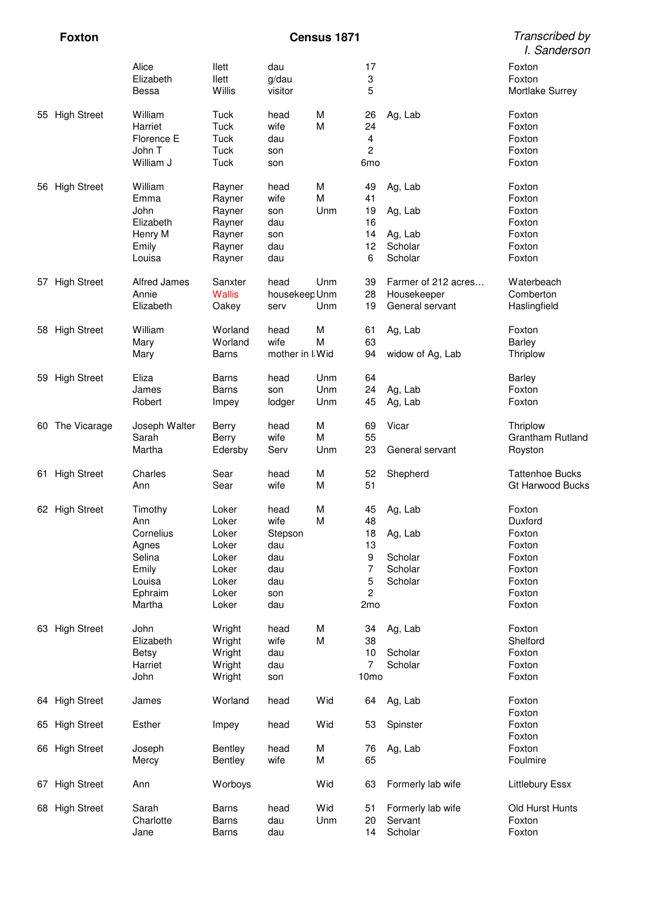|    | <b>Foxton</b>      |                                   |                             |                         | Census 1871 |                                    |                                | Transcribed by<br>I. Sanderson             |
|----|--------------------|-----------------------------------|-----------------------------|-------------------------|-------------|------------------------------------|--------------------------------|--------------------------------------------|
|    |                    | Alice<br>Elizabeth<br>Bessa       | llett<br>llett<br>Willis    | dau<br>g/dau<br>visitor |             | 17<br>3<br>5                       |                                | Foxton<br>Foxton<br>Mortlake Surrey        |
|    | 55 High Street     | William<br>Harriet                | Tuck<br>Tuck                | head<br>wife            | M<br>M      | 26<br>24                           | Ag, Lab                        | Foxton<br>Foxton                           |
|    |                    | Florence E<br>John T<br>William J | Tuck<br><b>Tuck</b><br>Tuck | dau<br>son<br>son       |             | 4<br>$\overline{c}$<br>6mo         |                                | Foxton<br>Foxton<br>Foxton                 |
|    | 56 High Street     | William<br>Emma                   | Rayner<br>Rayner            | head<br>wife            | M<br>M      | 49<br>41                           | Ag, Lab                        | Foxton<br>Foxton                           |
|    |                    | John<br>Elizabeth                 | Rayner<br>Rayner            | son<br>dau              | Unm         | 19<br>16                           | Ag, Lab                        | Foxton<br>Foxton                           |
|    |                    | Henry M                           | Rayner                      | son                     |             | 14                                 | Ag, Lab                        | Foxton                                     |
|    |                    | Emily<br>Louisa                   | Rayner<br>Rayner            | dau<br>dau              |             | 12<br>6                            | Scholar<br>Scholar             | Foxton<br>Foxton                           |
| 57 | <b>High Street</b> | Alfred James                      | Sanxter                     | head                    | Unm         | 39                                 | Farmer of 212 acres            | Waterbeach                                 |
|    |                    | Annie<br>Elizabeth                | <b>Wallis</b><br>Oakey      | housekeep Unm<br>serv   | Unm         | 28<br>19                           | Housekeeper<br>General servant | Comberton<br>Haslingfield                  |
|    | 58 High Street     | William                           | Worland                     | head                    | M           | 61                                 | Ag, Lab                        | Foxton                                     |
|    |                    | Mary<br>Mary                      | Worland<br><b>Barns</b>     | wife<br>mother in I Wid | M           | 63<br>94                           | widow of Ag, Lab               | Barley<br>Thriplow                         |
|    | 59 High Street     | Eliza                             | Barns                       | head                    | Unm         | 64                                 |                                | <b>Barley</b>                              |
|    |                    | James<br>Robert                   | Barns<br>Impey              | son<br>lodger           | Unm<br>Unm  | 24<br>45                           | Ag, Lab<br>Ag, Lab             | Foxton<br>Foxton                           |
| 60 | The Vicarage       | Joseph Walter                     | Berry                       | head                    | M           | 69                                 | Vicar                          | Thriplow                                   |
|    |                    | Sarah<br>Martha                   | Berry<br>Edersby            | wife<br>Serv            | M<br>Unm    | 55<br>23                           | General servant                | Grantham Rutland<br>Royston                |
| 61 | <b>High Street</b> | Charles<br>Ann                    | Sear<br>Sear                | head<br>wife            | M<br>M      | 52<br>51                           | Shepherd                       | <b>Tattenhoe Bucks</b><br>Gt Harwood Bucks |
|    | 62 High Street     | Timothy                           | Loker                       | head                    | M<br>M      | 45<br>48                           | Ag, Lab                        | Foxton                                     |
|    |                    | Ann<br>Cornelius                  | Loker<br>Loker              | wife<br>Stepson         |             | 18                                 | Ag, Lab                        | Duxford<br>Foxton                          |
|    |                    | Agnes<br>Selina                   | Loker<br>Loker              | dau<br>dau              |             | 13<br>9                            | Scholar                        | Foxton<br>Foxton                           |
|    |                    | Emily                             | Loker                       | dau                     |             | 7                                  | Scholar                        | Foxton                                     |
|    |                    | Louisa                            | Loker                       | dau                     |             | 5                                  | Scholar                        | Foxton                                     |
|    |                    | Ephraim<br>Martha                 | Loker<br>Loker              | son<br>dau              |             | $\overline{c}$<br>2 <sub>mo</sub>  |                                | Foxton<br>Foxton                           |
|    | 63 High Street     | John                              | Wright                      | head                    | M           | 34                                 | Ag, Lab                        | Foxton                                     |
|    |                    | Elizabeth                         | Wright                      | wife                    | M           | 38                                 |                                | Shelford                                   |
|    |                    | <b>Betsy</b>                      | Wright                      | dau                     |             | 10                                 | Scholar                        | Foxton                                     |
|    |                    | Harriet<br>John                   | Wright<br>Wright            | dau<br>son              |             | $\overline{7}$<br>10 <sub>mo</sub> | Scholar                        | Foxton<br>Foxton                           |
|    | 64 High Street     | James                             | Worland                     | head                    | Wid         | 64                                 | Ag, Lab                        | Foxton                                     |
|    | 65 High Street     | Esther                            | Impey                       | head                    | Wid         | 53                                 | Spinster                       | Foxton<br>Foxton<br>Foxton                 |
|    | 66 High Street     | Joseph<br>Mercy                   | <b>Bentley</b><br>Bentley   | head<br>wife            | M<br>M      | 76<br>65                           | Ag, Lab                        | Foxton<br>Foulmire                         |
|    | 67 High Street     | Ann                               | Worboys                     |                         | Wid         | 63                                 | Formerly lab wife              | Littlebury Essx                            |
|    | 68 High Street     | Sarah                             | Barns                       | head                    | Wid         | 51                                 | Formerly lab wife              | Old Hurst Hunts                            |
|    |                    | Charlotte<br>Jane                 | Barns<br>Barns              | dau<br>dau              | Unm         | 20<br>14                           | Servant<br>Scholar             | Foxton<br>Foxton                           |
|    |                    |                                   |                             |                         |             |                                    |                                |                                            |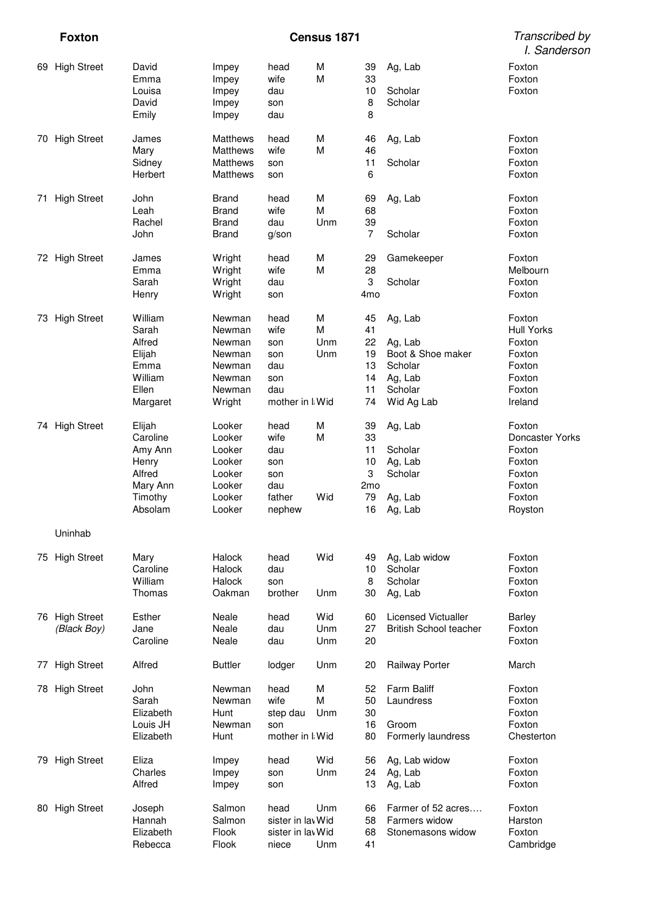**Foxton Census 1871** 

| Transcribed by |
|----------------|
| I. Sanderson   |

|    | 69 High Street                | David<br>Emma<br>Louisa<br>David<br>Emily                                          | Impey<br>Impey<br>Impey<br>Impey<br>Impey                                    | head<br>wife<br>dau<br>son<br>dau                                  | M<br>M               | 39<br>33<br>10<br>8<br>8                                 | Ag, Lab<br>Scholar<br>Scholar                                                          | Foxton<br>Foxton<br>Foxton                                                               |
|----|-------------------------------|------------------------------------------------------------------------------------|------------------------------------------------------------------------------|--------------------------------------------------------------------|----------------------|----------------------------------------------------------|----------------------------------------------------------------------------------------|------------------------------------------------------------------------------------------|
| 70 | <b>High Street</b>            | James<br>Mary<br>Sidney<br>Herbert                                                 | <b>Matthews</b><br>Matthews<br><b>Matthews</b><br><b>Matthews</b>            | head<br>wife<br>son<br>son                                         | M<br>M               | 46<br>46<br>11<br>6                                      | Ag, Lab<br>Scholar                                                                     | Foxton<br>Foxton<br>Foxton<br>Foxton                                                     |
| 71 | <b>High Street</b>            | John<br>Leah<br>Rachel<br>John                                                     | <b>Brand</b><br><b>Brand</b><br><b>Brand</b><br><b>Brand</b>                 | head<br>wife<br>dau<br>g/son                                       | M<br>M<br>Unm        | 69<br>68<br>39<br>$\overline{7}$                         | Ag, Lab<br>Scholar                                                                     | Foxton<br>Foxton<br>Foxton<br>Foxton                                                     |
|    | 72 High Street                | James<br>Emma<br>Sarah<br>Henry                                                    | Wright<br>Wright<br>Wright<br>Wright                                         | head<br>wife<br>dau<br>son                                         | M<br>M               | 29<br>28<br>3<br>4 <sub>mo</sub>                         | Gamekeeper<br>Scholar                                                                  | Foxton<br>Melbourn<br>Foxton<br>Foxton                                                   |
| 73 | <b>High Street</b>            | William<br>Sarah<br>Alfred<br>Elijah<br>Emma<br>William<br>Ellen<br>Margaret       | Newman<br>Newman<br>Newman<br>Newman<br>Newman<br>Newman<br>Newman<br>Wright | head<br>wife<br>son<br>son<br>dau<br>son<br>dau<br>mother in I Wid | M<br>M<br>Unm<br>Unm | 45<br>41<br>22<br>19<br>13<br>14<br>11<br>74             | Ag, Lab<br>Ag, Lab<br>Boot & Shoe maker<br>Scholar<br>Ag, Lab<br>Scholar<br>Wid Ag Lab | Foxton<br><b>Hull Yorks</b><br>Foxton<br>Foxton<br>Foxton<br>Foxton<br>Foxton<br>Ireland |
|    | 74 High Street                | Elijah<br>Caroline<br>Amy Ann<br>Henry<br>Alfred<br>Mary Ann<br>Timothy<br>Absolam | Looker<br>Looker<br>Looker<br>Looker<br>Looker<br>Looker<br>Looker<br>Looker | head<br>wife<br>dau<br>son<br>son<br>dau<br>father<br>nephew       | M<br>M<br>Wid        | 39<br>33<br>11<br>10<br>3<br>2 <sub>mo</sub><br>79<br>16 | Ag, Lab<br>Scholar<br>Ag, Lab<br>Scholar<br>Ag, Lab<br>Ag, Lab                         | Foxton<br>Doncaster Yorks<br>Foxton<br>Foxton<br>Foxton<br>Foxton<br>Foxton<br>Royston   |
|    | Uninhab                       |                                                                                    |                                                                              |                                                                    |                      |                                                          |                                                                                        |                                                                                          |
|    | 75 High Street                | Mary<br>Caroline<br>William<br>Thomas                                              | Halock<br>Halock<br>Halock<br>Oakman                                         | head<br>dau<br>son<br>brother                                      | Wid<br>Unm           | 49<br>10<br>8<br>30                                      | Ag, Lab widow<br>Scholar<br>Scholar<br>Ag, Lab                                         | Foxton<br>Foxton<br>Foxton<br>Foxton                                                     |
|    | 76 High Street<br>(Black Boy) | Esther<br>Jane<br>Caroline                                                         | Neale<br>Neale<br>Neale                                                      | head<br>dau<br>dau                                                 | Wid<br>Unm<br>Unm    | 60<br>27<br>20                                           | <b>Licensed Victualler</b><br><b>British School teacher</b>                            | <b>Barley</b><br>Foxton<br>Foxton                                                        |
| 77 | <b>High Street</b>            | Alfred                                                                             | <b>Buttler</b>                                                               | lodger                                                             | Unm                  | 20                                                       | <b>Railway Porter</b>                                                                  | March                                                                                    |
|    | 78 High Street                | John<br>Sarah<br>Elizabeth<br>Louis JH<br>Elizabeth                                | Newman<br>Newman<br>Hunt<br>Newman<br>Hunt                                   | head<br>wife<br>step dau<br>son<br>mother in I Wid                 | М<br>M<br>Unm        | 52<br>50<br>30<br>16<br>80                               | <b>Farm Baliff</b><br>Laundress<br>Groom<br>Formerly laundress                         | Foxton<br>Foxton<br>Foxton<br>Foxton<br>Chesterton                                       |
|    | 79 High Street                | Eliza<br>Charles<br>Alfred                                                         | Impey<br>Impey<br>Impey                                                      | head<br>son<br>son                                                 | Wid<br>Unm           | 56<br>24<br>13                                           | Ag, Lab widow<br>Ag, Lab<br>Ag, Lab                                                    | Foxton<br>Foxton<br>Foxton                                                               |
|    | 80 High Street                | Joseph<br>Hannah<br>Elizabeth<br>Rebecca                                           | Salmon<br>Salmon<br>Flook<br>Flook                                           | head<br>sister in lav Wid<br>sister in lav Wid<br>niece            | Unm<br>Unm           | 66<br>58<br>68<br>41                                     | Farmer of 52 acres<br>Farmers widow<br>Stonemasons widow                               | Foxton<br>Harston<br>Foxton<br>Cambridge                                                 |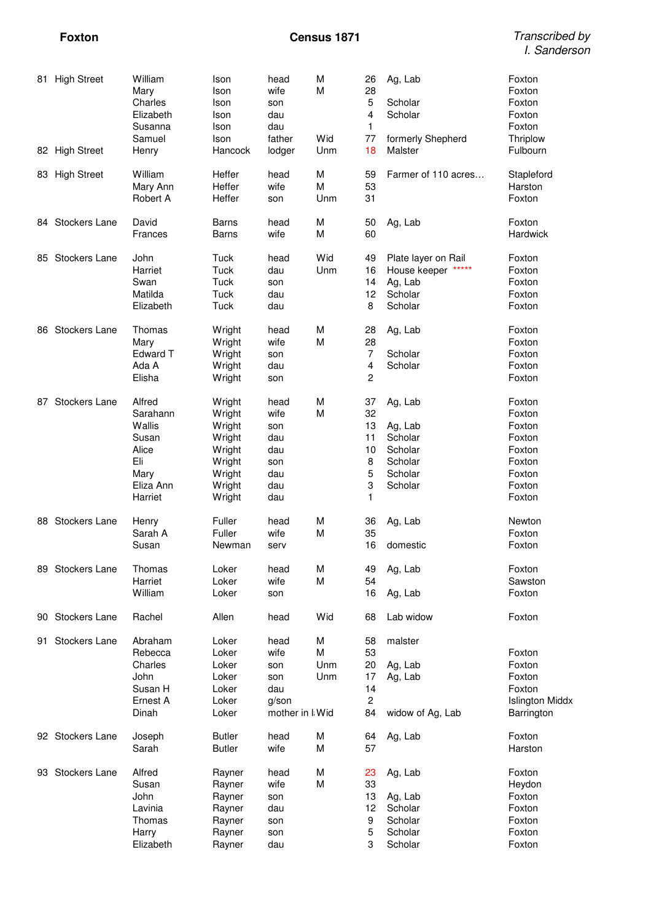| 81. | <b>High Street</b>   | William<br>Mary<br>Charles<br>Elizabeth<br>Susanna<br>Samuel                          | Ison<br>Ison<br>Ison<br>Ison<br>Ison<br>Ison                                           | head<br>wife<br>son<br>dau<br>dau<br>father                      | M<br>M<br>Wid        | 26<br>28<br>5<br>4<br>1<br>77                      | Ag, Lab<br>Scholar<br>Scholar<br>formerly Shepherd                        | Foxton<br>Foxton<br>Foxton<br>Foxton<br>Foxton<br>Thriplow                             |
|-----|----------------------|---------------------------------------------------------------------------------------|----------------------------------------------------------------------------------------|------------------------------------------------------------------|----------------------|----------------------------------------------------|---------------------------------------------------------------------------|----------------------------------------------------------------------------------------|
|     | 82 High Street       | Henry                                                                                 | Hancock                                                                                | lodger                                                           | Unm                  | 18                                                 | Malster                                                                   | Fulbourn                                                                               |
|     | 83 High Street       | William<br>Mary Ann<br>Robert A                                                       | Heffer<br>Heffer<br>Heffer                                                             | head<br>wife<br>son                                              | M<br>M<br>Unm        | 59<br>53<br>31                                     | Farmer of 110 acres                                                       | Stapleford<br>Harston<br>Foxton                                                        |
|     | 84 Stockers Lane     | David<br>Frances                                                                      | <b>Barns</b><br><b>Barns</b>                                                           | head<br>wife                                                     | M<br>M               | 50<br>60                                           | Ag, Lab                                                                   | Foxton<br>Hardwick                                                                     |
|     | 85 Stockers Lane     | John<br>Harriet<br>Swan<br>Matilda<br>Elizabeth                                       | Tuck<br>Tuck<br>Tuck<br>Tuck<br>Tuck                                                   | head<br>dau<br>son<br>dau<br>dau                                 | Wid<br>Unm           | 49<br>16<br>14<br>12<br>8                          | Plate layer on Rail<br>House keeper<br>Ag, Lab<br>Scholar<br>Scholar      | Foxton<br>Foxton<br>Foxton<br>Foxton<br>Foxton                                         |
| 86. | <b>Stockers Lane</b> | Thomas<br>Mary<br>Edward T<br>Ada A<br>Elisha                                         | Wright<br>Wright<br>Wright<br>Wright<br>Wright                                         | head<br>wife<br>son<br>dau<br>son                                | M<br>M               | 28<br>28<br>$\overline{7}$<br>4<br>2               | Ag, Lab<br>Scholar<br>Scholar                                             | Foxton<br>Foxton<br>Foxton<br>Foxton<br>Foxton                                         |
| 87  | Stockers Lane        | Alfred<br>Sarahann<br>Wallis<br>Susan<br>Alice<br>Eli<br>Mary<br>Eliza Ann<br>Harriet | Wright<br>Wright<br>Wright<br>Wright<br>Wright<br>Wright<br>Wright<br>Wright<br>Wright | head<br>wife<br>son<br>dau<br>dau<br>son<br>dau<br>dau<br>dau    | M<br>M               | 37<br>32<br>13<br>11<br>10<br>8<br>5<br>3<br>1     | Ag, Lab<br>Ag, Lab<br>Scholar<br>Scholar<br>Scholar<br>Scholar<br>Scholar | Foxton<br>Foxton<br>Foxton<br>Foxton<br>Foxton<br>Foxton<br>Foxton<br>Foxton<br>Foxton |
|     | 88 Stockers Lane     | Henry<br>Sarah A<br>Susan                                                             | Fuller<br>Fuller<br>Newman                                                             | head<br>wife<br>serv                                             | M<br>M               | 36<br>35<br>16                                     | Ag, Lab<br>domestic                                                       | Newton<br>Foxton<br>Foxton                                                             |
|     | 89 Stockers Lane     | Thomas<br>Harriet<br>William                                                          | Loker<br>Loker<br>Loker                                                                | head<br>wife<br>son                                              | M<br>M               | 49<br>54<br>16                                     | Ag, Lab<br>Ag, Lab                                                        | Foxton<br>Sawston<br>Foxton                                                            |
|     | 90 Stockers Lane     | Rachel                                                                                | Allen                                                                                  | head                                                             | Wid                  | 68                                                 | Lab widow                                                                 | Foxton                                                                                 |
| 91  | Stockers Lane        | Abraham<br>Rebecca<br>Charles<br>John<br>Susan H<br>Ernest A<br>Dinah                 | Loker<br>Loker<br>Loker<br>Loker<br>Loker<br>Loker<br>Loker                            | head<br>wife<br>son<br>son<br>dau<br>$g$ /son<br>mother in I Wid | M<br>M<br>Unm<br>Unm | 58<br>53<br>20<br>17<br>14<br>$\overline{c}$<br>84 | malster<br>Ag, Lab<br>Ag, Lab<br>widow of Ag, Lab                         | Foxton<br>Foxton<br>Foxton<br>Foxton<br>Islington Middx<br>Barrington                  |
|     | 92 Stockers Lane     | Joseph<br>Sarah                                                                       | <b>Butler</b><br><b>Butler</b>                                                         | head<br>wife                                                     | M<br>M               | 64<br>57                                           | Ag, Lab                                                                   | Foxton<br>Harston                                                                      |
|     | 93 Stockers Lane     | Alfred<br>Susan<br>John<br>Lavinia<br>Thomas<br>Harry<br>Elizabeth                    | Rayner<br>Rayner<br>Rayner<br>Rayner<br>Rayner<br>Rayner<br>Rayner                     | head<br>wife<br>son<br>dau<br>son<br>son<br>dau                  | M<br>M               | 23<br>33<br>13<br>12<br>9<br>5<br>3                | Ag, Lab<br>Ag, Lab<br>Scholar<br>Scholar<br>Scholar<br>Scholar            | Foxton<br>Heydon<br>Foxton<br>Foxton<br>Foxton<br>Foxton<br>Foxton                     |